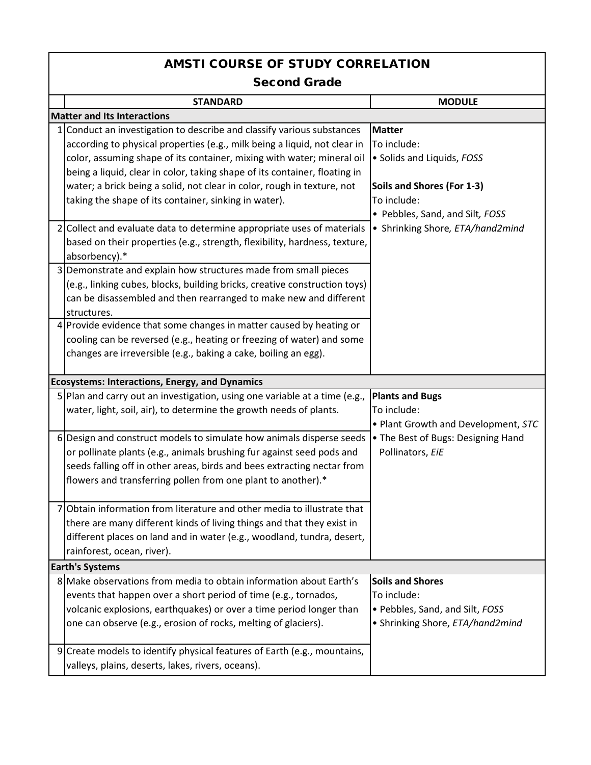## AMSTI COURSE OF STUDY CORRELATION

## Second Grade

|                                    | <b>STANDARD</b>                                                                                                                                                                                                                                                                                                                                                                                                                                                                                                                                                                                         | <b>MODULE</b>                                                                                                                                                                  |  |  |
|------------------------------------|---------------------------------------------------------------------------------------------------------------------------------------------------------------------------------------------------------------------------------------------------------------------------------------------------------------------------------------------------------------------------------------------------------------------------------------------------------------------------------------------------------------------------------------------------------------------------------------------------------|--------------------------------------------------------------------------------------------------------------------------------------------------------------------------------|--|--|
| <b>Matter and Its Interactions</b> |                                                                                                                                                                                                                                                                                                                                                                                                                                                                                                                                                                                                         |                                                                                                                                                                                |  |  |
|                                    | 1 Conduct an investigation to describe and classify various substances<br>according to physical properties (e.g., milk being a liquid, not clear in<br>color, assuming shape of its container, mixing with water; mineral oil<br>being a liquid, clear in color, taking shape of its container, floating in<br>water; a brick being a solid, not clear in color, rough in texture, not<br>taking the shape of its container, sinking in water).<br>2 Collect and evaluate data to determine appropriate uses of materials<br>based on their properties (e.g., strength, flexibility, hardness, texture, | <b>Matter</b><br>To include:<br>· Solids and Liquids, FOSS<br>Soils and Shores (For 1-3)<br>To include:<br>• Pebbles, Sand, and Silt, FOSS<br>• Shrinking Shore, ETA/hand2mind |  |  |
|                                    | absorbency).*<br>3 Demonstrate and explain how structures made from small pieces<br>(e.g., linking cubes, blocks, building bricks, creative construction toys)<br>can be disassembled and then rearranged to make new and different<br>structures.                                                                                                                                                                                                                                                                                                                                                      |                                                                                                                                                                                |  |  |
|                                    | 4 Provide evidence that some changes in matter caused by heating or<br>cooling can be reversed (e.g., heating or freezing of water) and some<br>changes are irreversible (e.g., baking a cake, boiling an egg).                                                                                                                                                                                                                                                                                                                                                                                         |                                                                                                                                                                                |  |  |
|                                    | <b>Ecosystems: Interactions, Energy, and Dynamics</b>                                                                                                                                                                                                                                                                                                                                                                                                                                                                                                                                                   |                                                                                                                                                                                |  |  |
|                                    | 5 Plan and carry out an investigation, using one variable at a time (e.g.,<br>water, light, soil, air), to determine the growth needs of plants.                                                                                                                                                                                                                                                                                                                                                                                                                                                        | <b>Plants and Bugs</b><br>To include:<br>. Plant Growth and Development, STC                                                                                                   |  |  |
|                                    | 6 Design and construct models to simulate how animals disperse seeds<br>or pollinate plants (e.g., animals brushing fur against seed pods and<br>seeds falling off in other areas, birds and bees extracting nectar from<br>flowers and transferring pollen from one plant to another).*                                                                                                                                                                                                                                                                                                                | • The Best of Bugs: Designing Hand<br>Pollinators, EiE                                                                                                                         |  |  |
| 7                                  | Obtain information from literature and other media to illustrate that<br>there are many different kinds of living things and that they exist in<br>different places on land and in water (e.g., woodland, tundra, desert,<br>rainforest, ocean, river).                                                                                                                                                                                                                                                                                                                                                 |                                                                                                                                                                                |  |  |
|                                    | <b>Earth's Systems</b>                                                                                                                                                                                                                                                                                                                                                                                                                                                                                                                                                                                  |                                                                                                                                                                                |  |  |
|                                    | 8 Make observations from media to obtain information about Earth's<br>events that happen over a short period of time (e.g., tornados,<br>volcanic explosions, earthquakes) or over a time period longer than<br>one can observe (e.g., erosion of rocks, melting of glaciers).                                                                                                                                                                                                                                                                                                                          | <b>Soils and Shores</b><br>To include:<br>· Pebbles, Sand, and Silt, FOSS<br>• Shrinking Shore, ETA/hand2mind                                                                  |  |  |
|                                    | 9 Create models to identify physical features of Earth (e.g., mountains,<br>valleys, plains, deserts, lakes, rivers, oceans).                                                                                                                                                                                                                                                                                                                                                                                                                                                                           |                                                                                                                                                                                |  |  |